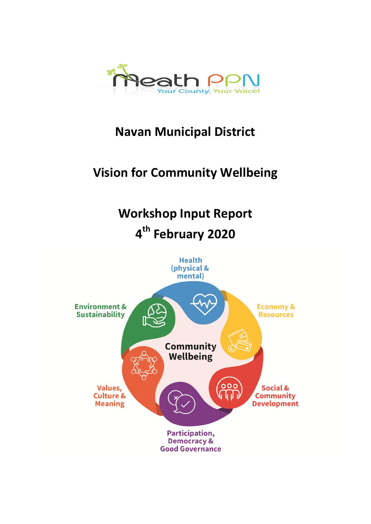

# **Navan Municipal District**

# **Vision for Community Wellbeing**

# **Workshop Input Report 4 th February 2020**

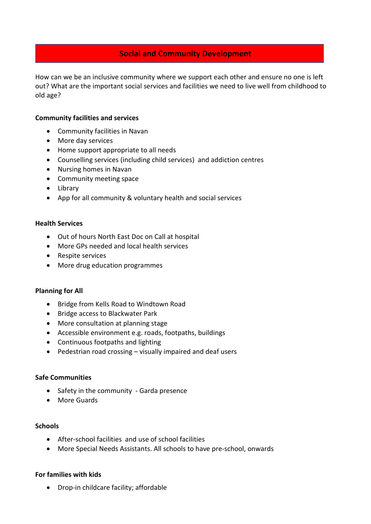## **Social and Community Development**

How can we be an inclusive community where we support each other and ensure no one is left out? What are the important social services and facilities we need to live well from childhood to old age?

#### **Community facilities and services**

- Community facilities in Navan
- More day services
- Home support appropriate to all needs
- Counselling services (including child services) and addiction centres
- Nursing homes in Navan
- Community meeting space
- Library
- App for all community & voluntary health and social services

#### **Health Services**

- Out of hours North East Doc on Call at hospital
- More GPs needed and local health services
- Respite services
- More drug education programmes

#### **Planning for All**

- Bridge from Kells Road to Windtown Road
- Bridge access to Blackwater Park
- More consultation at planning stage
- Accessible environment e.g. roads, footpaths, buildings
- Continuous footpaths and lighting
- Pedestrian road crossing visually impaired and deaf users

#### **Safe Communities**

- Safety in the community Garda presence
- More Guards

#### **Schools**

- After-school facilities and use of school facilities
- More Special Needs Assistants. All schools to have pre-school, onwards

#### **For families with kids**

Drop-in childcare facility; affordable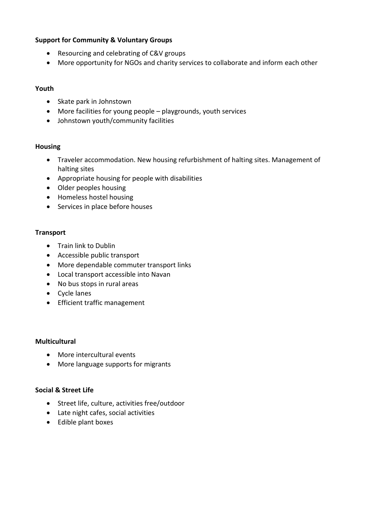#### **Support for Community & Voluntary Groups**

- Resourcing and celebrating of C&V groups
- More opportunity for NGOs and charity services to collaborate and inform each other

#### **Youth**

- Skate park in Johnstown
- More facilities for young people playgrounds, youth services
- Johnstown youth/community facilities

#### **Housing**

- Traveler accommodation. New housing refurbishment of halting sites. Management of halting sites
- Appropriate housing for people with disabilities
- Older peoples housing
- Homeless hostel housing
- Services in place before houses

#### **Transport**

- Train link to Dublin
- Accessible public transport
- More dependable commuter transport links
- Local transport accessible into Navan
- No bus stops in rural areas
- Cycle lanes
- **•** Efficient traffic management

#### **Multicultural**

- More intercultural events
- More language supports for migrants

#### **Social & Street Life**

- Street life, culture, activities free/outdoor
- Late night cafes, social activities
- Edible plant boxes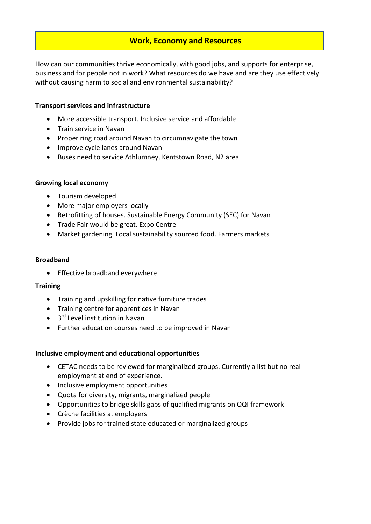# **Work, Economy and Resources**

How can our communities thrive economically, with good jobs, and supports for enterprise, business and for people not in work? What resources do we have and are they use effectively without causing harm to social and environmental sustainability?

#### **Transport services and infrastructure**

- More accessible transport. Inclusive service and affordable
- **•** Train service in Navan
- Proper ring road around Navan to circumnavigate the town
- Improve cycle lanes around Navan
- Buses need to service Athlumney, Kentstown Road, N2 area

#### **Growing local economy**

- Tourism developed
- More major employers locally
- Retrofitting of houses. Sustainable Energy Community (SEC) for Navan
- Trade Fair would be great. Expo Centre
- Market gardening. Local sustainability sourced food. Farmers markets

#### **Broadband**

• Effective broadband everywhere

#### **Training**

- Training and upskilling for native furniture trades
- Training centre for apprentices in Navan
- 3<sup>rd</sup> Level institution in Navan
- Further education courses need to be improved in Navan

#### **Inclusive employment and educational opportunities**

- CETAC needs to be reviewed for marginalized groups. Currently a list but no real employment at end of experience.
- Inclusive employment opportunities
- Quota for diversity, migrants, marginalized people
- Opportunities to bridge skills gaps of qualified migrants on QQI framework
- Crèche facilities at employers
- Provide jobs for trained state educated or marginalized groups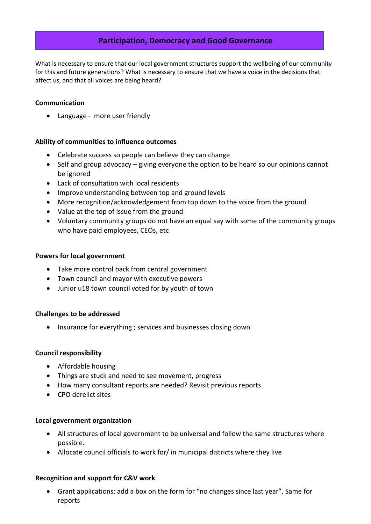## **Participation, Democracy and Good Governance**

What is necessary to ensure that our local government structures support the wellbeing of our community for this and future generations? What is necessary to ensure that we have a voice in the decisions that affect us, and that all voices are being heard?

#### **Communication**

• Language - more user friendly

#### **Ability of communities to influence outcomes**

- Celebrate success so people can believe they can change
- Self and group advocacy giving everyone the option to be heard so our opinions cannot be ignored
- Lack of consultation with local residents
- Improve understanding between top and ground levels
- More recognition/acknowledgement from top down to the voice from the ground
- Value at the top of issue from the ground
- Voluntary community groups do not have an equal say with some of the community groups who have paid employees, CEOs, etc

#### **Powers for local government**

- Take more control back from central government
- Town council and mayor with executive powers
- Junior u18 town council voted for by youth of town

#### **Challenges to be addressed**

• Insurance for everything ; services and businesses closing down

#### **Council responsibility**

- Affordable housing
- Things are stuck and need to see movement, progress
- How many consultant reports are needed? Revisit previous reports
- CPO derelict sites

#### **Local government organization**

- All structures of local government to be universal and follow the same structures where possible.
- Allocate council officials to work for/ in municipal districts where they live

#### **Recognition and support for C&V work**

 Grant applications: add a box on the form for "no changes since last year". Same for reports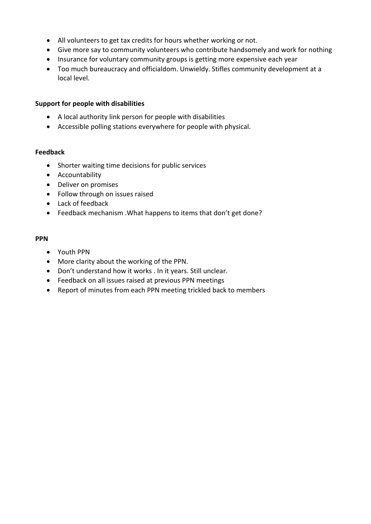- All volunteers to get tax credits for hours whether working or not.
- Give more say to community volunteers who contribute handsomely and work for nothing
- Insurance for voluntary community groups is getting more expensive each year
- Too much bureaucracy and officialdom. Unwieldy. Stifles community development at a local level.

#### **Support for people with disabilities**

- A local authority link person for people with disabilities
- Accessible polling stations everywhere for people with physical.

#### **Feedback**

- Shorter waiting time decisions for public services
- Accountability
- Deliver on promises
- Follow through on issues raised
- Lack of feedback
- Feedback mechanism .What happens to items that don't get done?

#### **PPN**

- Youth PPN
- More clarity about the working of the PPN.
- Don't understand how it works . In it years. Still unclear.
- Feedback on all issues raised at previous PPN meetings
- Report of minutes from each PPN meeting trickled back to members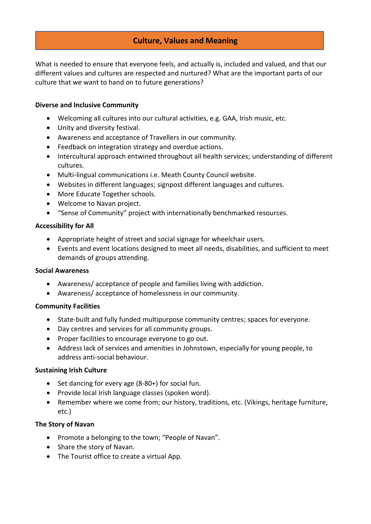# **Culture, Values and Meaning**

What is needed to ensure that everyone feels, and actually is, included and valued, and that our different values and cultures are respected and nurtured? What are the important parts of our culture that we want to hand on to future generations?

#### **Diverse and Inclusive Community**

- Welcoming all cultures into our cultural activities, e.g. GAA, Irish music, etc.
- Unity and diversity festival.
- Awareness and acceptance of Travellers in our community.
- Feedback on integration strategy and overdue actions.
- Intercultural approach entwined throughout all health services; understanding of different cultures.
- Multi-lingual communications i.e. Meath County Council website.
- Websites in different languages; signpost different languages and cultures.
- More Educate Together schools.
- Welcome to Navan project.
- "Sense of Community" project with internationally benchmarked resources.

#### **Accessibility for All**

- Appropriate height of street and social signage for wheelchair users.
- Events and event locations designed to meet all needs, disabilities, and sufficient to meet demands of groups attending.

#### **Social Awareness**

- Awareness/ acceptance of people and families living with addiction.
- Awareness/ acceptance of homelessness in our community.

#### **Community Facilities**

- State-built and fully funded multipurpose community centres; spaces for everyone.
- Day centres and services for all community groups.
- Proper facilities to encourage everyone to go out.
- Address lack of services and amenities in Johnstown, especially for young people, to address anti-social behaviour.

#### **Sustaining Irish Culture**

- $\bullet$  Set dancing for every age (8-80+) for social fun.
- Provide local Irish language classes (spoken word).
- Remember where we come from; our history, traditions, etc. (Vikings, heritage furniture, etc.)

#### **The Story of Navan**

- Promote a belonging to the town; "People of Navan".
- Share the story of Navan.
- The Tourist office to create a virtual App.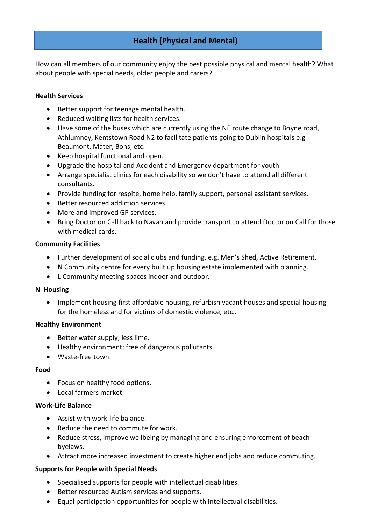# **Health (Physical and Mental)**

How can all members of our community enjoy the best possible physical and mental health? What about people with special needs, older people and carers?

#### **Health Services**

- Better support for teenage mental health.
- Reduced waiting lists for health services.
- Have some of the buses which are currently using the N£ route change to Boyne road, Athlumney, Kentstown Road N2 to facilitate patients going to Dublin hospitals e.g Beaumont, Mater, Bons, etc.
- $\bullet$  Keep hospital functional and open.
- Upgrade the hospital and Accident and Emergency department for youth.
- Arrange specialist clinics for each disability so we don't have to attend all different consultants.
- Provide funding for respite, home help, family support, personal assistant services.
- **•** Better resourced addiction services.
- More and improved GP services.
- Bring Doctor on Call back to Navan and provide transport to attend Doctor on Call for those with medical cards.

#### **Community Facilities**

- Further development of social clubs and funding, e.g. Men's Shed, Active Retirement.
- N Community centre for every built up housing estate implemented with planning.
- L Community meeting spaces indoor and outdoor.

#### **N Housing**

• Implement housing first affordable housing, refurbish vacant houses and special housing for the homeless and for victims of domestic violence, etc..

#### **Healthy Environment**

- Better water supply; less lime.
- Healthy environment; free of dangerous pollutants.
- Waste-free town.

#### **Food**

- Focus on healthy food options.
- Local farmers market.

#### **Work-Life Balance**

- Assist with work-life balance.
- Reduce the need to commute for work.
- Reduce stress, improve wellbeing by managing and ensuring enforcement of beach byelaws.
- Attract more increased investment to create higher end jobs and reduce commuting.

#### **Supports for People with Special Needs**

- Specialised supports for people with intellectual disabilities.
- Better resourced Autism services and supports.
- Equal participation opportunities for people with intellectual disabilities.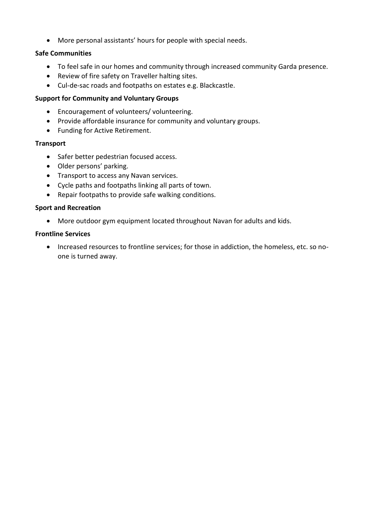More personal assistants' hours for people with special needs.

#### **Safe Communities**

- To feel safe in our homes and community through increased community Garda presence.
- Review of fire safety on Traveller halting sites.
- Cul-de-sac roads and footpaths on estates e.g. Blackcastle.

#### **Support for Community and Voluntary Groups**

- Encouragement of volunteers/ volunteering.
- Provide affordable insurance for community and voluntary groups.
- Funding for Active Retirement.

#### **Transport**

- Safer better pedestrian focused access.
- Older persons' parking.
- Transport to access any Navan services.
- Cycle paths and footpaths linking all parts of town.
- Repair footpaths to provide safe walking conditions.

#### **Sport and Recreation**

More outdoor gym equipment located throughout Navan for adults and kids.

#### **Frontline Services**

 Increased resources to frontline services; for those in addiction, the homeless, etc. so noone is turned away.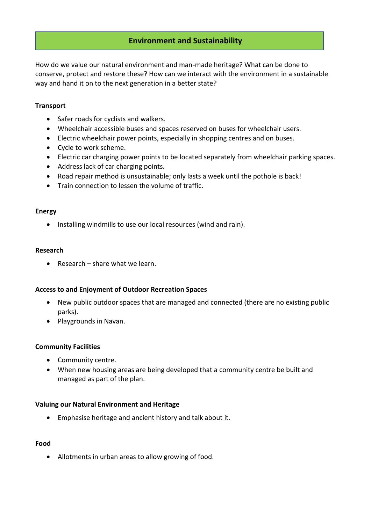## **Environment and Sustainability**

How do we value our natural environment and man-made heritage? What can be done to conserve, protect and restore these? How can we interact with the environment in a sustainable way and hand it on to the next generation in a better state?

#### **Transport**

- Safer roads for cyclists and walkers.
- Wheelchair accessible buses and spaces reserved on buses for wheelchair users.
- Electric wheelchair power points, especially in shopping centres and on buses.
- Cycle to work scheme.
- Electric car charging power points to be located separately from wheelchair parking spaces.
- Address lack of car charging points.
- Road repair method is unsustainable; only lasts a week until the pothole is back!
- Train connection to lessen the volume of traffic.

#### **Energy**

• Installing windmills to use our local resources (wind and rain).

#### **Research**

 $\bullet$  Research – share what we learn.

#### **Access to and Enjoyment of Outdoor Recreation Spaces**

- New public outdoor spaces that are managed and connected (there are no existing public parks).
- Playgrounds in Navan.

#### **Community Facilities**

- Community centre.
- When new housing areas are being developed that a community centre be built and managed as part of the plan.

#### **Valuing our Natural Environment and Heritage**

Emphasise heritage and ancient history and talk about it.

#### **Food**

Allotments in urban areas to allow growing of food.